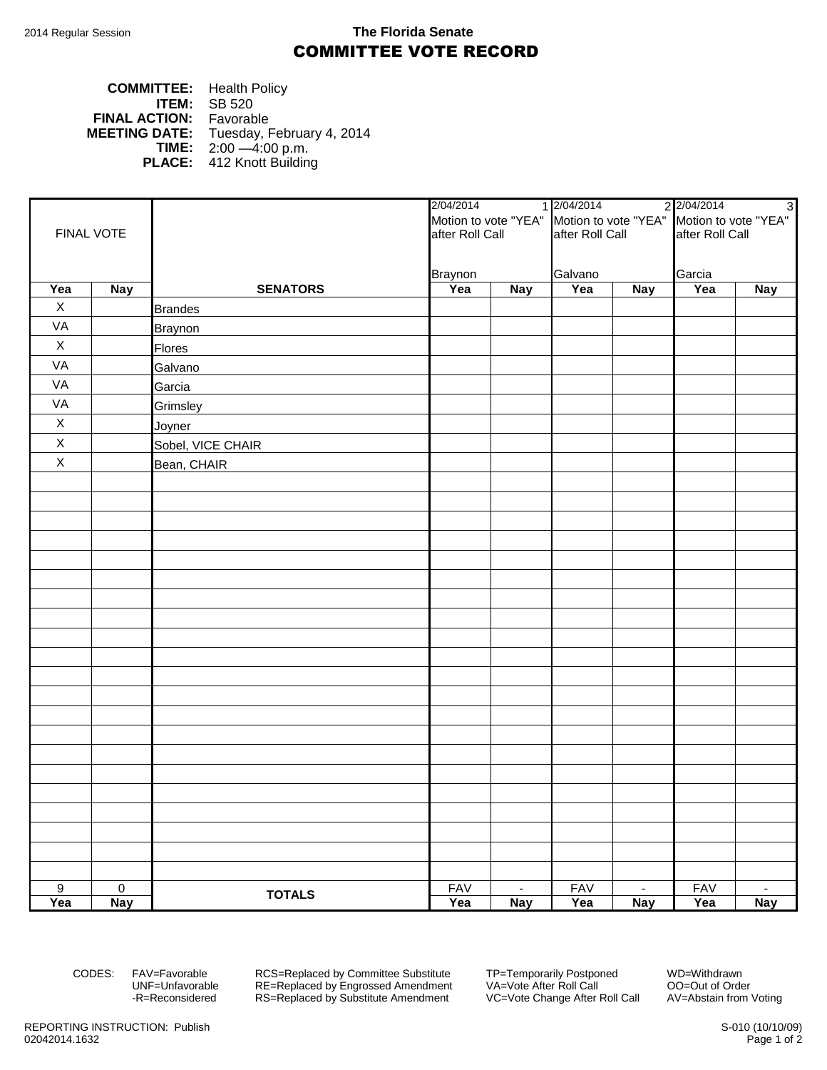## 2014 Regular Session **The Florida Senate** COMMITTEE VOTE RECORD

| <b>COMMITTEE:</b> Health Policy |                                                |
|---------------------------------|------------------------------------------------|
|                                 | <b>ITEM:</b> $SB 520$                          |
| <b>FINAL ACTION:</b> Favorable  |                                                |
|                                 | <b>MEETING DATE:</b> Tuesday, February 4, 2014 |
|                                 | <b>TIME:</b> $2:00 - 4:00 \text{ p.m.}$        |
|                                 | <b>PLACE:</b> 412 Knott Building               |

|                  |             |                   | 2/04/2014<br>Motion to vote "YEA" Motion to vote "YEA" Motion to vote "YEA" |                | 1 2/04/2014<br>2 2/04/2014<br>3 |            |                 |                |  |
|------------------|-------------|-------------------|-----------------------------------------------------------------------------|----------------|---------------------------------|------------|-----------------|----------------|--|
|                  |             |                   |                                                                             |                |                                 |            |                 |                |  |
| FINAL VOTE       |             |                   | after Roll Call                                                             |                | after Roll Call                 |            | after Roll Call |                |  |
|                  |             |                   |                                                                             |                |                                 |            |                 |                |  |
|                  |             |                   | <b>Braynon</b>                                                              |                | Galvano                         |            | Garcia          |                |  |
| Yea              | <b>Nay</b>  | <b>SENATORS</b>   | Yea                                                                         | <b>Nay</b>     | Yea                             | <b>Nay</b> | Yea             | <b>Nay</b>     |  |
| X                |             | <b>Brandes</b>    |                                                                             |                |                                 |            |                 |                |  |
| VA               |             | <b>Braynon</b>    |                                                                             |                |                                 |            |                 |                |  |
| $\mathsf X$      |             | <b>Flores</b>     |                                                                             |                |                                 |            |                 |                |  |
| VA               |             | Galvano           |                                                                             |                |                                 |            |                 |                |  |
| VA               |             | Garcia            |                                                                             |                |                                 |            |                 |                |  |
| VA               |             | Grimsley          |                                                                             |                |                                 |            |                 |                |  |
| $\mathsf X$      |             | Joyner            |                                                                             |                |                                 |            |                 |                |  |
| $\mathsf X$      |             | Sobel, VICE CHAIR |                                                                             |                |                                 |            |                 |                |  |
| $\mathsf X$      |             | Bean, CHAIR       |                                                                             |                |                                 |            |                 |                |  |
|                  |             |                   |                                                                             |                |                                 |            |                 |                |  |
|                  |             |                   |                                                                             |                |                                 |            |                 |                |  |
|                  |             |                   |                                                                             |                |                                 |            |                 |                |  |
|                  |             |                   |                                                                             |                |                                 |            |                 |                |  |
|                  |             |                   |                                                                             |                |                                 |            |                 |                |  |
|                  |             |                   |                                                                             |                |                                 |            |                 |                |  |
|                  |             |                   |                                                                             |                |                                 |            |                 |                |  |
|                  |             |                   |                                                                             |                |                                 |            |                 |                |  |
|                  |             |                   |                                                                             |                |                                 |            |                 |                |  |
|                  |             |                   |                                                                             |                |                                 |            |                 |                |  |
|                  |             |                   |                                                                             |                |                                 |            |                 |                |  |
|                  |             |                   |                                                                             |                |                                 |            |                 |                |  |
|                  |             |                   |                                                                             |                |                                 |            |                 |                |  |
|                  |             |                   |                                                                             |                |                                 |            |                 |                |  |
|                  |             |                   |                                                                             |                |                                 |            |                 |                |  |
|                  |             |                   |                                                                             |                |                                 |            |                 |                |  |
|                  |             |                   |                                                                             |                |                                 |            |                 |                |  |
|                  |             |                   |                                                                             |                |                                 |            |                 |                |  |
|                  |             |                   |                                                                             |                |                                 |            |                 |                |  |
|                  |             |                   |                                                                             |                |                                 |            |                 |                |  |
|                  |             |                   |                                                                             |                |                                 |            |                 |                |  |
| $\boldsymbol{9}$ | $\mathbf 0$ |                   | <b>FAV</b>                                                                  | $\blacksquare$ | <b>FAV</b>                      | $\sim$     | <b>FAV</b>      | $\blacksquare$ |  |
| Yea              | <b>Nay</b>  | <b>TOTALS</b>     | Yea                                                                         | <b>Nay</b>     | Yea                             | <b>Nay</b> | Yea             | <b>Nay</b>     |  |

CODES: FAV=Favorable RCS=Replaced by Committee Substitute TP=Temporarily Postponed WD=Withdrawn UNF=Unfavorable RE=Replaced by Engrossed Amendment VA=Vote After Roll Call OO=Out of Order -R=Reconsidered RS=Replaced by Substitute Amendment VC=Vote Change After Roll Call AV=Abstain from Voting